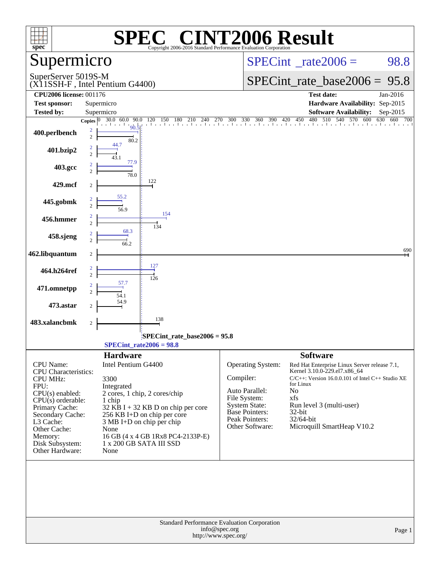|                                                                                                                                                                                                                                     | $\blacksquare$<br>SPE                                                                                                                                                                                                                                                                       | <b>INT2006 Result</b>                                                                                                                                                                                                                                                                                                                                                                                                  |
|-------------------------------------------------------------------------------------------------------------------------------------------------------------------------------------------------------------------------------------|---------------------------------------------------------------------------------------------------------------------------------------------------------------------------------------------------------------------------------------------------------------------------------------------|------------------------------------------------------------------------------------------------------------------------------------------------------------------------------------------------------------------------------------------------------------------------------------------------------------------------------------------------------------------------------------------------------------------------|
| spec <sup>®</sup><br>Supermicro                                                                                                                                                                                                     | Copyright 2006-2016 Standard Performance Evaluation Corporation                                                                                                                                                                                                                             | $SPECint^{\circ}$ <sub>_rate2006</sub> =<br>98.8                                                                                                                                                                                                                                                                                                                                                                       |
| SuperServer 5019S-M                                                                                                                                                                                                                 | (X11SSH-F, Intel Pentium G4400)                                                                                                                                                                                                                                                             | SPECint rate base $2006 = 95.8$                                                                                                                                                                                                                                                                                                                                                                                        |
| <b>CPU2006 license: 001176</b><br><b>Test sponsor:</b>                                                                                                                                                                              | Supermicro                                                                                                                                                                                                                                                                                  | <b>Test date:</b><br>Jan-2016<br>Hardware Availability: Sep-2015                                                                                                                                                                                                                                                                                                                                                       |
| <b>Tested by:</b>                                                                                                                                                                                                                   | Supermicro                                                                                                                                                                                                                                                                                  | <b>Software Availability:</b><br>Sep-2015                                                                                                                                                                                                                                                                                                                                                                              |
| 400.perlbench<br>401.bzip2                                                                                                                                                                                                          | 90.5<br>$\overline{c}$<br>$\overline{c}$<br>80.2                                                                                                                                                                                                                                            | Copies $\begin{bmatrix} 0 & 30.0 & 60.0 & 90.0 & 120 & 150 & 180 & 210 & 240 & 270 & 300 & 330 & 360 & 390 & 420 & 450 & 480 & 510 & 540 & 570 & 600 & 630 & 660 & 70 \end{bmatrix}$<br>630 660 700                                                                                                                                                                                                                    |
| 403.gcc                                                                                                                                                                                                                             | 2<br>77.9                                                                                                                                                                                                                                                                                   |                                                                                                                                                                                                                                                                                                                                                                                                                        |
| 429.mcf                                                                                                                                                                                                                             | $\overline{2}$<br>78.0<br>122<br>2                                                                                                                                                                                                                                                          |                                                                                                                                                                                                                                                                                                                                                                                                                        |
| 445.gobmk                                                                                                                                                                                                                           | 55.2<br>$\overline{c}$<br>56.9                                                                                                                                                                                                                                                              |                                                                                                                                                                                                                                                                                                                                                                                                                        |
| 456.hmmer                                                                                                                                                                                                                           | 154<br>2<br>$\overline{c}$<br>134                                                                                                                                                                                                                                                           |                                                                                                                                                                                                                                                                                                                                                                                                                        |
| 458.sjeng                                                                                                                                                                                                                           | 68.3<br>$\overline{2}$<br>66.2                                                                                                                                                                                                                                                              |                                                                                                                                                                                                                                                                                                                                                                                                                        |
| 462.libquantum                                                                                                                                                                                                                      | 2<br>127                                                                                                                                                                                                                                                                                    | 690                                                                                                                                                                                                                                                                                                                                                                                                                    |
| 464.h264ref                                                                                                                                                                                                                         | 2<br>$\overline{2}$<br>126<br>57.7                                                                                                                                                                                                                                                          |                                                                                                                                                                                                                                                                                                                                                                                                                        |
| 471.omnetpp                                                                                                                                                                                                                         | $\overline{2}$<br>54.1                                                                                                                                                                                                                                                                      |                                                                                                                                                                                                                                                                                                                                                                                                                        |
| 473.astar<br>483.xalancbmk                                                                                                                                                                                                          | 2<br>138                                                                                                                                                                                                                                                                                    |                                                                                                                                                                                                                                                                                                                                                                                                                        |
|                                                                                                                                                                                                                                     | $\overline{c}$<br>SPECint_rate_base2006 = 95.8                                                                                                                                                                                                                                              |                                                                                                                                                                                                                                                                                                                                                                                                                        |
|                                                                                                                                                                                                                                     | $SPECint_rate2006 = 98.8$                                                                                                                                                                                                                                                                   |                                                                                                                                                                                                                                                                                                                                                                                                                        |
| CPU Name:<br><b>CPU</b> Characteristics:<br><b>CPU MHz:</b><br>FPU:<br>$CPU(s)$ enabled:<br>$CPU(s)$ orderable:<br>Primary Cache:<br>Secondary Cache:<br>L3 Cache:<br>Other Cache:<br>Memory:<br>Disk Subsystem:<br>Other Hardware: | <b>Hardware</b><br>Intel Pentium G4400<br>3300<br>Integrated<br>2 cores, 1 chip, 2 cores/chip<br>1 chip<br>$32$ KB I + 32 KB D on chip per core<br>256 KB I+D on chip per core<br>3 MB I+D on chip per chip<br>None<br>16 GB (4 x 4 GB 1Rx8 PC4-2133P-E)<br>1 x 200 GB SATA III SSD<br>None | <b>Software</b><br>Operating System:<br>Red Hat Enterprise Linux Server release 7.1,<br>Kernel 3.10.0-229.el7.x86_64<br>Compiler:<br>$C/C++$ : Version 16.0.0.101 of Intel $C++$ Studio XE<br>for Linux<br>Auto Parallel:<br>No<br>File System:<br>xfs<br><b>System State:</b><br>Run level 3 (multi-user)<br>Base Pointers:<br>32-bit<br>Peak Pointers:<br>32/64-bit<br>Microquill SmartHeap V10.2<br>Other Software: |
|                                                                                                                                                                                                                                     | info@spec.org                                                                                                                                                                                                                                                                               | Standard Performance Evaluation Corporation<br>Page 1                                                                                                                                                                                                                                                                                                                                                                  |
|                                                                                                                                                                                                                                     | http://www.spec.org/                                                                                                                                                                                                                                                                        |                                                                                                                                                                                                                                                                                                                                                                                                                        |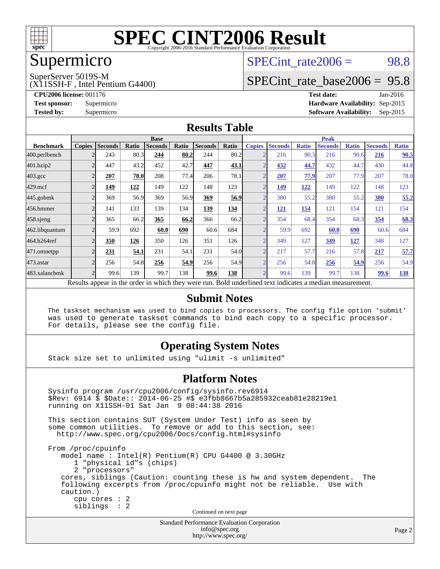

## Supermicro

### $SPECTnt_rate2006 = 98.8$

SuperServer 5019S-M

(X11SSH-F , Intel Pentium G4400)

[SPECint\\_rate\\_base2006 =](http://www.spec.org/auto/cpu2006/Docs/result-fields.html#SPECintratebase2006) 95.8

**[CPU2006 license:](http://www.spec.org/auto/cpu2006/Docs/result-fields.html#CPU2006license)** 001176 **[Test date:](http://www.spec.org/auto/cpu2006/Docs/result-fields.html#Testdate)** Jan-2016 **[Test sponsor:](http://www.spec.org/auto/cpu2006/Docs/result-fields.html#Testsponsor)** Supermicro **[Hardware Availability:](http://www.spec.org/auto/cpu2006/Docs/result-fields.html#HardwareAvailability)** Sep-2015 **[Tested by:](http://www.spec.org/auto/cpu2006/Docs/result-fields.html#Testedby)** Supermicro **Supermicro [Software Availability:](http://www.spec.org/auto/cpu2006/Docs/result-fields.html#SoftwareAvailability)** Sep-2015

#### **[Results Table](http://www.spec.org/auto/cpu2006/Docs/result-fields.html#ResultsTable)**

|                                                                                                         | <b>Base</b>   |                |       |                |       |                | <b>Peak</b> |                |                |              |                |              |                |              |
|---------------------------------------------------------------------------------------------------------|---------------|----------------|-------|----------------|-------|----------------|-------------|----------------|----------------|--------------|----------------|--------------|----------------|--------------|
| <b>Benchmark</b>                                                                                        | <b>Copies</b> | <b>Seconds</b> | Ratio | <b>Seconds</b> | Ratio | <b>Seconds</b> | Ratio       | <b>Copies</b>  | <b>Seconds</b> | <b>Ratio</b> | <b>Seconds</b> | <b>Ratio</b> | <b>Seconds</b> | <b>Ratio</b> |
| 400.perlbench                                                                                           |               | 243            | 80.3  | 244            | 80.2  | 244            | 80.2        | $\overline{2}$ | 216            | 90.3         | 216            | 90.6         | 216            | 90.5         |
| 401.bzip2                                                                                               |               | 447            | 43.2  | 452            | 42.7  | 447            | 43.1        | ⌒              | 432            | 44.7         | 432            | 44.7         | 430            | 44.8         |
| $403.\mathrm{gcc}$                                                                                      |               | 207            | 78.0  | 208            | 77.4  | 206            | 78.1        | $\overline{2}$ | 207            | 77.9         | 207            | 77.9         | 207            | 78.0         |
| $429$ .mcf                                                                                              |               | 149            | 122   | 149            | 122   | 148            | 123         | $\overline{2}$ | 149            | 122          | 149            | 122          | 148            | 123          |
| $445$ .gobm $k$                                                                                         |               | 369            | 56.9  | 369            | 56.9  | 369            | 56.9        | $\overline{2}$ | 380            | 55.2         | 380            | 55.2         | 380            | 55.2         |
| 456.hmmer                                                                                               |               | 141            | 133   | 139            | 134   | 139            | 134         | $\bigcap$      | <u> 121</u>    | <u>154</u>   | 121            | 154          | 121            | 154          |
| $458$ .sjeng                                                                                            |               | 365            | 66.2  | 365            | 66.2  | 366            | 66.2        | $\overline{2}$ | 354            | 68.4         | 354            | 68.3         | 354            | 68.3         |
| 462.libquantum                                                                                          |               | 59.9           | 692   | 60.0           | 690   | 60.6           | 684         | $\overline{2}$ | 59.9           | 692          | 60.0           | 690          | 60.6           | 684          |
| 464.h264ref                                                                                             |               | 350            | 126   | 350            | 126   | 351            | 126         | $\bigcap$      | 349            | 127          | 349            | <u>127</u>   | 348            | 127          |
| 471.omnetpp                                                                                             |               | 231            | 54.1  | 231            | 54.1  | 231            | 54.0        | $\overline{2}$ | 217            | 57.7         | 216            | 57.8         | 217            | 57.7         |
| $473$ . astar                                                                                           |               | 256            | 54.8  | 256            | 54.9  | 256            | 54.9        | $\overline{2}$ | 256            | 54.8         | 256            | 54.9         | 256            | 54.9         |
| 483.xalancbmk                                                                                           |               | 99.6           | 139   | 99.7           | 138   | 99.6           | 138         | $\overline{2}$ | 99.6           | 139          | 99.7           | 138          | 99.6           | <u>138</u>   |
| Doculte appear in the order in which they were run. Rold underlined text indicates a modian measurement |               |                |       |                |       |                |             |                |                |              |                |              |                |              |

Results appear in the [order in which they were run.](http://www.spec.org/auto/cpu2006/Docs/result-fields.html#RunOrder) Bold underlined text [indicates a median measurement.](http://www.spec.org/auto/cpu2006/Docs/result-fields.html#Median)

#### **[Submit Notes](http://www.spec.org/auto/cpu2006/Docs/result-fields.html#SubmitNotes)**

 The taskset mechanism was used to bind copies to processors. The config file option 'submit' was used to generate taskset commands to bind each copy to a specific processor. For details, please see the config file.

#### **[Operating System Notes](http://www.spec.org/auto/cpu2006/Docs/result-fields.html#OperatingSystemNotes)**

Stack size set to unlimited using "ulimit -s unlimited"

#### **[Platform Notes](http://www.spec.org/auto/cpu2006/Docs/result-fields.html#PlatformNotes)**

Standard Performance Evaluation Corporation Sysinfo program /usr/cpu2006/config/sysinfo.rev6914 \$Rev: 6914 \$ \$Date:: 2014-06-25 #\$ e3fbb8667b5a285932ceab81e28219e1 running on X11SSH-01 Sat Jan 9 08:44:38 2016 This section contains SUT (System Under Test) info as seen by some common utilities. To remove or add to this section, see: <http://www.spec.org/cpu2006/Docs/config.html#sysinfo> From /proc/cpuinfo model name : Intel(R) Pentium(R) CPU G4400 @ 3.30GHz 1 "physical id"s (chips) 2 "processors" cores, siblings (Caution: counting these is hw and system dependent. The following excerpts from /proc/cpuinfo might not be reliable. Use with caution.) cpu cores : 2 siblings : 2 Continued on next page

[info@spec.org](mailto:info@spec.org) <http://www.spec.org/>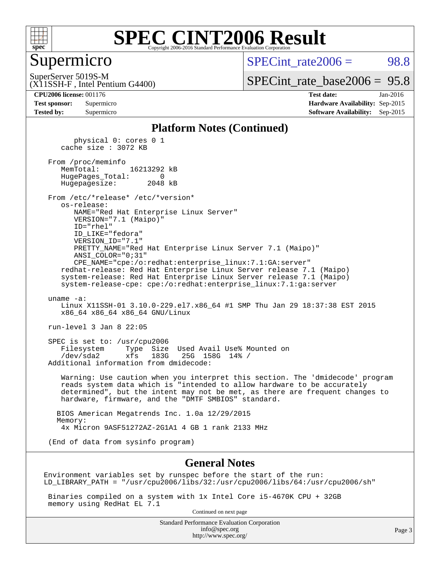

#### Supermicro

 $SPECTnt rate2006 = 98.8$ 

SuperServer 5019S-M

(X11SSH-F , Intel Pentium G4400)

[SPECint\\_rate\\_base2006 =](http://www.spec.org/auto/cpu2006/Docs/result-fields.html#SPECintratebase2006) 95.8

**[CPU2006 license:](http://www.spec.org/auto/cpu2006/Docs/result-fields.html#CPU2006license)** 001176 **[Test date:](http://www.spec.org/auto/cpu2006/Docs/result-fields.html#Testdate)** Jan-2016 **[Test sponsor:](http://www.spec.org/auto/cpu2006/Docs/result-fields.html#Testsponsor)** Supermicro **[Hardware Availability:](http://www.spec.org/auto/cpu2006/Docs/result-fields.html#HardwareAvailability)** Sep-2015 **[Tested by:](http://www.spec.org/auto/cpu2006/Docs/result-fields.html#Testedby)** Supermicro **Supermicro [Software Availability:](http://www.spec.org/auto/cpu2006/Docs/result-fields.html#SoftwareAvailability)** Sep-2015

#### **[Platform Notes \(Continued\)](http://www.spec.org/auto/cpu2006/Docs/result-fields.html#PlatformNotes)**

 physical 0: cores 0 1 cache size : 3072 KB From /proc/meminfo MemTotal: 16213292 kB HugePages\_Total: 0 Hugepagesize: 2048 kB From /etc/\*release\* /etc/\*version\* os-release: NAME="Red Hat Enterprise Linux Server" VERSION="7.1 (Maipo)" ID="rhel" ID\_LIKE="fedora" VERSION\_ID="7.1" PRETTY\_NAME="Red Hat Enterprise Linux Server 7.1 (Maipo)" ANSI\_COLOR="0;31" CPE\_NAME="cpe:/o:redhat:enterprise\_linux:7.1:GA:server" redhat-release: Red Hat Enterprise Linux Server release 7.1 (Maipo) system-release: Red Hat Enterprise Linux Server release 7.1 (Maipo) system-release-cpe: cpe:/o:redhat:enterprise\_linux:7.1:ga:server uname -a: Linux X11SSH-01 3.10.0-229.el7.x86\_64 #1 SMP Thu Jan 29 18:37:38 EST 2015 x86\_64 x86\_64 x86\_64 GNU/Linux run-level 3 Jan 8 22:05 SPEC is set to: /usr/cpu2006 Filesystem Type Size Used Avail Use% Mounted on /dev/sda2 xfs 183G 25G 158G 14% / Additional information from dmidecode: Warning: Use caution when you interpret this section. The 'dmidecode' program reads system data which is "intended to allow hardware to be accurately determined", but the intent may not be met, as there are frequent changes to hardware, firmware, and the "DMTF SMBIOS" standard. BIOS American Megatrends Inc. 1.0a 12/29/2015 Memory: 4x Micron 9ASF51272AZ-2G1A1 4 GB 1 rank 2133 MHz (End of data from sysinfo program)

#### **[General Notes](http://www.spec.org/auto/cpu2006/Docs/result-fields.html#GeneralNotes)**

Environment variables set by runspec before the start of the run: LD\_LIBRARY\_PATH = "/usr/cpu2006/libs/32:/usr/cpu2006/libs/64:/usr/cpu2006/sh"

 Binaries compiled on a system with 1x Intel Core i5-4670K CPU + 32GB memory using RedHat EL 7.1

Continued on next page

Standard Performance Evaluation Corporation [info@spec.org](mailto:info@spec.org) <http://www.spec.org/>

Page 3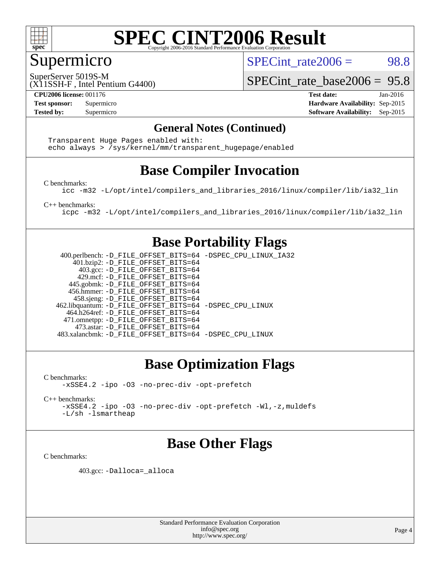

### Supermicro

SPECint rate $2006 = 98.8$ 

SuperServer 5019S-M

[SPECint\\_rate\\_base2006 =](http://www.spec.org/auto/cpu2006/Docs/result-fields.html#SPECintratebase2006) 95.8

(X11SSH-F , Intel Pentium G4400)

**[CPU2006 license:](http://www.spec.org/auto/cpu2006/Docs/result-fields.html#CPU2006license)** 001176 **[Test date:](http://www.spec.org/auto/cpu2006/Docs/result-fields.html#Testdate)** Jan-2016 **[Test sponsor:](http://www.spec.org/auto/cpu2006/Docs/result-fields.html#Testsponsor)** Supermicro **[Hardware Availability:](http://www.spec.org/auto/cpu2006/Docs/result-fields.html#HardwareAvailability)** Sep-2015 **[Tested by:](http://www.spec.org/auto/cpu2006/Docs/result-fields.html#Testedby)** Supermicro **Supermicro [Software Availability:](http://www.spec.org/auto/cpu2006/Docs/result-fields.html#SoftwareAvailability)** Sep-2015

#### **[General Notes \(Continued\)](http://www.spec.org/auto/cpu2006/Docs/result-fields.html#GeneralNotes)**

 Transparent Huge Pages enabled with: echo always > /sys/kernel/mm/transparent\_hugepage/enabled

### **[Base Compiler Invocation](http://www.spec.org/auto/cpu2006/Docs/result-fields.html#BaseCompilerInvocation)**

[C benchmarks](http://www.spec.org/auto/cpu2006/Docs/result-fields.html#Cbenchmarks):

[icc -m32 -L/opt/intel/compilers\\_and\\_libraries\\_2016/linux/compiler/lib/ia32\\_lin](http://www.spec.org/cpu2006/results/res2016q1/cpu2006-20160111-38657.flags.html#user_CCbase_intel_icc_e10256ba5924b668798078a321b0cb3f)

[C++ benchmarks:](http://www.spec.org/auto/cpu2006/Docs/result-fields.html#CXXbenchmarks)

[icpc -m32 -L/opt/intel/compilers\\_and\\_libraries\\_2016/linux/compiler/lib/ia32\\_lin](http://www.spec.org/cpu2006/results/res2016q1/cpu2006-20160111-38657.flags.html#user_CXXbase_intel_icpc_b4f50a394bdb4597aa5879c16bc3f5c5)

#### **[Base Portability Flags](http://www.spec.org/auto/cpu2006/Docs/result-fields.html#BasePortabilityFlags)**

 400.perlbench: [-D\\_FILE\\_OFFSET\\_BITS=64](http://www.spec.org/cpu2006/results/res2016q1/cpu2006-20160111-38657.flags.html#user_basePORTABILITY400_perlbench_file_offset_bits_64_438cf9856305ebd76870a2c6dc2689ab) [-DSPEC\\_CPU\\_LINUX\\_IA32](http://www.spec.org/cpu2006/results/res2016q1/cpu2006-20160111-38657.flags.html#b400.perlbench_baseCPORTABILITY_DSPEC_CPU_LINUX_IA32) 401.bzip2: [-D\\_FILE\\_OFFSET\\_BITS=64](http://www.spec.org/cpu2006/results/res2016q1/cpu2006-20160111-38657.flags.html#user_basePORTABILITY401_bzip2_file_offset_bits_64_438cf9856305ebd76870a2c6dc2689ab) 403.gcc: [-D\\_FILE\\_OFFSET\\_BITS=64](http://www.spec.org/cpu2006/results/res2016q1/cpu2006-20160111-38657.flags.html#user_basePORTABILITY403_gcc_file_offset_bits_64_438cf9856305ebd76870a2c6dc2689ab) 429.mcf: [-D\\_FILE\\_OFFSET\\_BITS=64](http://www.spec.org/cpu2006/results/res2016q1/cpu2006-20160111-38657.flags.html#user_basePORTABILITY429_mcf_file_offset_bits_64_438cf9856305ebd76870a2c6dc2689ab) 445.gobmk: [-D\\_FILE\\_OFFSET\\_BITS=64](http://www.spec.org/cpu2006/results/res2016q1/cpu2006-20160111-38657.flags.html#user_basePORTABILITY445_gobmk_file_offset_bits_64_438cf9856305ebd76870a2c6dc2689ab) 456.hmmer: [-D\\_FILE\\_OFFSET\\_BITS=64](http://www.spec.org/cpu2006/results/res2016q1/cpu2006-20160111-38657.flags.html#user_basePORTABILITY456_hmmer_file_offset_bits_64_438cf9856305ebd76870a2c6dc2689ab) 458.sjeng: [-D\\_FILE\\_OFFSET\\_BITS=64](http://www.spec.org/cpu2006/results/res2016q1/cpu2006-20160111-38657.flags.html#user_basePORTABILITY458_sjeng_file_offset_bits_64_438cf9856305ebd76870a2c6dc2689ab) 462.libquantum: [-D\\_FILE\\_OFFSET\\_BITS=64](http://www.spec.org/cpu2006/results/res2016q1/cpu2006-20160111-38657.flags.html#user_basePORTABILITY462_libquantum_file_offset_bits_64_438cf9856305ebd76870a2c6dc2689ab) [-DSPEC\\_CPU\\_LINUX](http://www.spec.org/cpu2006/results/res2016q1/cpu2006-20160111-38657.flags.html#b462.libquantum_baseCPORTABILITY_DSPEC_CPU_LINUX) 464.h264ref: [-D\\_FILE\\_OFFSET\\_BITS=64](http://www.spec.org/cpu2006/results/res2016q1/cpu2006-20160111-38657.flags.html#user_basePORTABILITY464_h264ref_file_offset_bits_64_438cf9856305ebd76870a2c6dc2689ab) 471.omnetpp: [-D\\_FILE\\_OFFSET\\_BITS=64](http://www.spec.org/cpu2006/results/res2016q1/cpu2006-20160111-38657.flags.html#user_basePORTABILITY471_omnetpp_file_offset_bits_64_438cf9856305ebd76870a2c6dc2689ab) 473.astar: [-D\\_FILE\\_OFFSET\\_BITS=64](http://www.spec.org/cpu2006/results/res2016q1/cpu2006-20160111-38657.flags.html#user_basePORTABILITY473_astar_file_offset_bits_64_438cf9856305ebd76870a2c6dc2689ab) 483.xalancbmk: [-D\\_FILE\\_OFFSET\\_BITS=64](http://www.spec.org/cpu2006/results/res2016q1/cpu2006-20160111-38657.flags.html#user_basePORTABILITY483_xalancbmk_file_offset_bits_64_438cf9856305ebd76870a2c6dc2689ab) [-DSPEC\\_CPU\\_LINUX](http://www.spec.org/cpu2006/results/res2016q1/cpu2006-20160111-38657.flags.html#b483.xalancbmk_baseCXXPORTABILITY_DSPEC_CPU_LINUX)

### **[Base Optimization Flags](http://www.spec.org/auto/cpu2006/Docs/result-fields.html#BaseOptimizationFlags)**

[C benchmarks](http://www.spec.org/auto/cpu2006/Docs/result-fields.html#Cbenchmarks): [-xSSE4.2](http://www.spec.org/cpu2006/results/res2016q1/cpu2006-20160111-38657.flags.html#user_CCbase_f-xSSE42_f91528193cf0b216347adb8b939d4107) [-ipo](http://www.spec.org/cpu2006/results/res2016q1/cpu2006-20160111-38657.flags.html#user_CCbase_f-ipo) [-O3](http://www.spec.org/cpu2006/results/res2016q1/cpu2006-20160111-38657.flags.html#user_CCbase_f-O3) [-no-prec-div](http://www.spec.org/cpu2006/results/res2016q1/cpu2006-20160111-38657.flags.html#user_CCbase_f-no-prec-div) [-opt-prefetch](http://www.spec.org/cpu2006/results/res2016q1/cpu2006-20160111-38657.flags.html#user_CCbase_f-opt-prefetch)

[C++ benchmarks:](http://www.spec.org/auto/cpu2006/Docs/result-fields.html#CXXbenchmarks) [-xSSE4.2](http://www.spec.org/cpu2006/results/res2016q1/cpu2006-20160111-38657.flags.html#user_CXXbase_f-xSSE42_f91528193cf0b216347adb8b939d4107) [-ipo](http://www.spec.org/cpu2006/results/res2016q1/cpu2006-20160111-38657.flags.html#user_CXXbase_f-ipo) [-O3](http://www.spec.org/cpu2006/results/res2016q1/cpu2006-20160111-38657.flags.html#user_CXXbase_f-O3) [-no-prec-div](http://www.spec.org/cpu2006/results/res2016q1/cpu2006-20160111-38657.flags.html#user_CXXbase_f-no-prec-div) [-opt-prefetch](http://www.spec.org/cpu2006/results/res2016q1/cpu2006-20160111-38657.flags.html#user_CXXbase_f-opt-prefetch) [-Wl,-z,muldefs](http://www.spec.org/cpu2006/results/res2016q1/cpu2006-20160111-38657.flags.html#user_CXXbase_link_force_multiple1_74079c344b956b9658436fd1b6dd3a8a) [-L/sh -lsmartheap](http://www.spec.org/cpu2006/results/res2016q1/cpu2006-20160111-38657.flags.html#user_CXXbase_SmartHeap_32f6c82aa1ed9c52345d30cf6e4a0499)

### **[Base Other Flags](http://www.spec.org/auto/cpu2006/Docs/result-fields.html#BaseOtherFlags)**

[C benchmarks](http://www.spec.org/auto/cpu2006/Docs/result-fields.html#Cbenchmarks):

403.gcc: [-Dalloca=\\_alloca](http://www.spec.org/cpu2006/results/res2016q1/cpu2006-20160111-38657.flags.html#b403.gcc_baseEXTRA_CFLAGS_Dalloca_be3056838c12de2578596ca5467af7f3)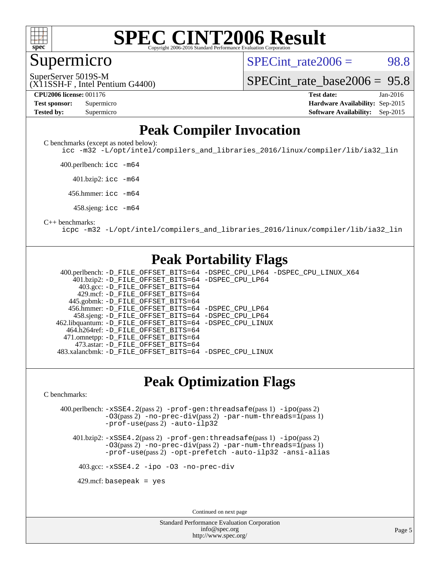

#### **[SPEC CINT2006 Result](http://www.spec.org/auto/cpu2006/Docs/result-fields.html#SPECCINT2006Result)** Copyright 2006-2016 Standard Performance Evaluation C

#### Supermicro

 $SPECTnt rate2006 = 98.8$ 

SuperServer 5019S-M

[SPECint\\_rate\\_base2006 =](http://www.spec.org/auto/cpu2006/Docs/result-fields.html#SPECintratebase2006) 95.8

(X11SSH-F , Intel Pentium G4400)

**[CPU2006 license:](http://www.spec.org/auto/cpu2006/Docs/result-fields.html#CPU2006license)** 001176 **[Test date:](http://www.spec.org/auto/cpu2006/Docs/result-fields.html#Testdate)** Jan-2016 **[Test sponsor:](http://www.spec.org/auto/cpu2006/Docs/result-fields.html#Testsponsor)** Supermicro **[Hardware Availability:](http://www.spec.org/auto/cpu2006/Docs/result-fields.html#HardwareAvailability)** Sep-2015 **[Tested by:](http://www.spec.org/auto/cpu2006/Docs/result-fields.html#Testedby)** Supermicro **[Software Availability:](http://www.spec.org/auto/cpu2006/Docs/result-fields.html#SoftwareAvailability)** Sep-2015

### **[Peak Compiler Invocation](http://www.spec.org/auto/cpu2006/Docs/result-fields.html#PeakCompilerInvocation)**

[C benchmarks \(except as noted below\)](http://www.spec.org/auto/cpu2006/Docs/result-fields.html#Cbenchmarksexceptasnotedbelow):

[icc -m32 -L/opt/intel/compilers\\_and\\_libraries\\_2016/linux/compiler/lib/ia32\\_lin](http://www.spec.org/cpu2006/results/res2016q1/cpu2006-20160111-38657.flags.html#user_CCpeak_intel_icc_e10256ba5924b668798078a321b0cb3f)

400.perlbench: [icc -m64](http://www.spec.org/cpu2006/results/res2016q1/cpu2006-20160111-38657.flags.html#user_peakCCLD400_perlbench_intel_icc_64bit_bda6cc9af1fdbb0edc3795bac97ada53)

401.bzip2: [icc -m64](http://www.spec.org/cpu2006/results/res2016q1/cpu2006-20160111-38657.flags.html#user_peakCCLD401_bzip2_intel_icc_64bit_bda6cc9af1fdbb0edc3795bac97ada53)

456.hmmer: [icc -m64](http://www.spec.org/cpu2006/results/res2016q1/cpu2006-20160111-38657.flags.html#user_peakCCLD456_hmmer_intel_icc_64bit_bda6cc9af1fdbb0edc3795bac97ada53)

458.sjeng: [icc -m64](http://www.spec.org/cpu2006/results/res2016q1/cpu2006-20160111-38657.flags.html#user_peakCCLD458_sjeng_intel_icc_64bit_bda6cc9af1fdbb0edc3795bac97ada53)

#### [C++ benchmarks:](http://www.spec.org/auto/cpu2006/Docs/result-fields.html#CXXbenchmarks)

[icpc -m32 -L/opt/intel/compilers\\_and\\_libraries\\_2016/linux/compiler/lib/ia32\\_lin](http://www.spec.org/cpu2006/results/res2016q1/cpu2006-20160111-38657.flags.html#user_CXXpeak_intel_icpc_b4f50a394bdb4597aa5879c16bc3f5c5)

### **[Peak Portability Flags](http://www.spec.org/auto/cpu2006/Docs/result-fields.html#PeakPortabilityFlags)**

 400.perlbench: [-D\\_FILE\\_OFFSET\\_BITS=64](http://www.spec.org/cpu2006/results/res2016q1/cpu2006-20160111-38657.flags.html#user_peakPORTABILITY400_perlbench_file_offset_bits_64_438cf9856305ebd76870a2c6dc2689ab) [-DSPEC\\_CPU\\_LP64](http://www.spec.org/cpu2006/results/res2016q1/cpu2006-20160111-38657.flags.html#b400.perlbench_peakCPORTABILITY_DSPEC_CPU_LP64) [-DSPEC\\_CPU\\_LINUX\\_X64](http://www.spec.org/cpu2006/results/res2016q1/cpu2006-20160111-38657.flags.html#b400.perlbench_peakCPORTABILITY_DSPEC_CPU_LINUX_X64) 401.bzip2: [-D\\_FILE\\_OFFSET\\_BITS=64](http://www.spec.org/cpu2006/results/res2016q1/cpu2006-20160111-38657.flags.html#user_peakPORTABILITY401_bzip2_file_offset_bits_64_438cf9856305ebd76870a2c6dc2689ab) [-DSPEC\\_CPU\\_LP64](http://www.spec.org/cpu2006/results/res2016q1/cpu2006-20160111-38657.flags.html#suite_peakCPORTABILITY401_bzip2_DSPEC_CPU_LP64) 403.gcc: [-D\\_FILE\\_OFFSET\\_BITS=64](http://www.spec.org/cpu2006/results/res2016q1/cpu2006-20160111-38657.flags.html#user_peakPORTABILITY403_gcc_file_offset_bits_64_438cf9856305ebd76870a2c6dc2689ab) 429.mcf: [-D\\_FILE\\_OFFSET\\_BITS=64](http://www.spec.org/cpu2006/results/res2016q1/cpu2006-20160111-38657.flags.html#user_peakPORTABILITY429_mcf_file_offset_bits_64_438cf9856305ebd76870a2c6dc2689ab) 445.gobmk: [-D\\_FILE\\_OFFSET\\_BITS=64](http://www.spec.org/cpu2006/results/res2016q1/cpu2006-20160111-38657.flags.html#user_peakPORTABILITY445_gobmk_file_offset_bits_64_438cf9856305ebd76870a2c6dc2689ab) 456.hmmer: [-D\\_FILE\\_OFFSET\\_BITS=64](http://www.spec.org/cpu2006/results/res2016q1/cpu2006-20160111-38657.flags.html#user_peakPORTABILITY456_hmmer_file_offset_bits_64_438cf9856305ebd76870a2c6dc2689ab) [-DSPEC\\_CPU\\_LP64](http://www.spec.org/cpu2006/results/res2016q1/cpu2006-20160111-38657.flags.html#suite_peakCPORTABILITY456_hmmer_DSPEC_CPU_LP64) 458.sjeng: [-D\\_FILE\\_OFFSET\\_BITS=64](http://www.spec.org/cpu2006/results/res2016q1/cpu2006-20160111-38657.flags.html#user_peakPORTABILITY458_sjeng_file_offset_bits_64_438cf9856305ebd76870a2c6dc2689ab) [-DSPEC\\_CPU\\_LP64](http://www.spec.org/cpu2006/results/res2016q1/cpu2006-20160111-38657.flags.html#suite_peakCPORTABILITY458_sjeng_DSPEC_CPU_LP64) 462.libquantum: [-D\\_FILE\\_OFFSET\\_BITS=64](http://www.spec.org/cpu2006/results/res2016q1/cpu2006-20160111-38657.flags.html#user_peakPORTABILITY462_libquantum_file_offset_bits_64_438cf9856305ebd76870a2c6dc2689ab) [-DSPEC\\_CPU\\_LINUX](http://www.spec.org/cpu2006/results/res2016q1/cpu2006-20160111-38657.flags.html#b462.libquantum_peakCPORTABILITY_DSPEC_CPU_LINUX) 464.h264ref: [-D\\_FILE\\_OFFSET\\_BITS=64](http://www.spec.org/cpu2006/results/res2016q1/cpu2006-20160111-38657.flags.html#user_peakPORTABILITY464_h264ref_file_offset_bits_64_438cf9856305ebd76870a2c6dc2689ab) 471.omnetpp: [-D\\_FILE\\_OFFSET\\_BITS=64](http://www.spec.org/cpu2006/results/res2016q1/cpu2006-20160111-38657.flags.html#user_peakPORTABILITY471_omnetpp_file_offset_bits_64_438cf9856305ebd76870a2c6dc2689ab) 473.astar: [-D\\_FILE\\_OFFSET\\_BITS=64](http://www.spec.org/cpu2006/results/res2016q1/cpu2006-20160111-38657.flags.html#user_peakPORTABILITY473_astar_file_offset_bits_64_438cf9856305ebd76870a2c6dc2689ab) 483.xalancbmk: [-D\\_FILE\\_OFFSET\\_BITS=64](http://www.spec.org/cpu2006/results/res2016q1/cpu2006-20160111-38657.flags.html#user_peakPORTABILITY483_xalancbmk_file_offset_bits_64_438cf9856305ebd76870a2c6dc2689ab) [-DSPEC\\_CPU\\_LINUX](http://www.spec.org/cpu2006/results/res2016q1/cpu2006-20160111-38657.flags.html#b483.xalancbmk_peakCXXPORTABILITY_DSPEC_CPU_LINUX)

#### **[Peak Optimization Flags](http://www.spec.org/auto/cpu2006/Docs/result-fields.html#PeakOptimizationFlags)**

[C benchmarks](http://www.spec.org/auto/cpu2006/Docs/result-fields.html#Cbenchmarks):

 400.perlbench: [-xSSE4.2](http://www.spec.org/cpu2006/results/res2016q1/cpu2006-20160111-38657.flags.html#user_peakPASS2_CFLAGSPASS2_LDCFLAGS400_perlbench_f-xSSE42_f91528193cf0b216347adb8b939d4107)(pass 2) [-prof-gen:threadsafe](http://www.spec.org/cpu2006/results/res2016q1/cpu2006-20160111-38657.flags.html#user_peakPASS1_CFLAGSPASS1_LDCFLAGS400_perlbench_prof_gen_21a26eb79f378b550acd7bec9fe4467a)(pass 1) [-ipo](http://www.spec.org/cpu2006/results/res2016q1/cpu2006-20160111-38657.flags.html#user_peakPASS2_CFLAGSPASS2_LDCFLAGS400_perlbench_f-ipo)(pass 2) [-O3](http://www.spec.org/cpu2006/results/res2016q1/cpu2006-20160111-38657.flags.html#user_peakPASS2_CFLAGSPASS2_LDCFLAGS400_perlbench_f-O3)(pass 2) [-no-prec-div](http://www.spec.org/cpu2006/results/res2016q1/cpu2006-20160111-38657.flags.html#user_peakPASS2_CFLAGSPASS2_LDCFLAGS400_perlbench_f-no-prec-div)(pass 2) [-par-num-threads=1](http://www.spec.org/cpu2006/results/res2016q1/cpu2006-20160111-38657.flags.html#user_peakPASS1_CFLAGSPASS1_LDCFLAGS400_perlbench_par_num_threads_786a6ff141b4e9e90432e998842df6c2)(pass 1) [-prof-use](http://www.spec.org/cpu2006/results/res2016q1/cpu2006-20160111-38657.flags.html#user_peakPASS2_CFLAGSPASS2_LDCFLAGS400_perlbench_prof_use_bccf7792157ff70d64e32fe3e1250b55)(pass 2) [-auto-ilp32](http://www.spec.org/cpu2006/results/res2016q1/cpu2006-20160111-38657.flags.html#user_peakCOPTIMIZE400_perlbench_f-auto-ilp32)

 401.bzip2: [-xSSE4.2](http://www.spec.org/cpu2006/results/res2016q1/cpu2006-20160111-38657.flags.html#user_peakPASS2_CFLAGSPASS2_LDCFLAGS401_bzip2_f-xSSE42_f91528193cf0b216347adb8b939d4107)(pass 2) [-prof-gen:threadsafe](http://www.spec.org/cpu2006/results/res2016q1/cpu2006-20160111-38657.flags.html#user_peakPASS1_CFLAGSPASS1_LDCFLAGS401_bzip2_prof_gen_21a26eb79f378b550acd7bec9fe4467a)(pass 1) [-ipo](http://www.spec.org/cpu2006/results/res2016q1/cpu2006-20160111-38657.flags.html#user_peakPASS2_CFLAGSPASS2_LDCFLAGS401_bzip2_f-ipo)(pass 2) [-O3](http://www.spec.org/cpu2006/results/res2016q1/cpu2006-20160111-38657.flags.html#user_peakPASS2_CFLAGSPASS2_LDCFLAGS401_bzip2_f-O3)(pass 2) [-no-prec-div](http://www.spec.org/cpu2006/results/res2016q1/cpu2006-20160111-38657.flags.html#user_peakPASS2_CFLAGSPASS2_LDCFLAGS401_bzip2_f-no-prec-div)(pass 2) [-par-num-threads=1](http://www.spec.org/cpu2006/results/res2016q1/cpu2006-20160111-38657.flags.html#user_peakPASS1_CFLAGSPASS1_LDCFLAGS401_bzip2_par_num_threads_786a6ff141b4e9e90432e998842df6c2)(pass 1) [-prof-use](http://www.spec.org/cpu2006/results/res2016q1/cpu2006-20160111-38657.flags.html#user_peakPASS2_CFLAGSPASS2_LDCFLAGS401_bzip2_prof_use_bccf7792157ff70d64e32fe3e1250b55)(pass 2) [-opt-prefetch](http://www.spec.org/cpu2006/results/res2016q1/cpu2006-20160111-38657.flags.html#user_peakCOPTIMIZE401_bzip2_f-opt-prefetch) [-auto-ilp32](http://www.spec.org/cpu2006/results/res2016q1/cpu2006-20160111-38657.flags.html#user_peakCOPTIMIZE401_bzip2_f-auto-ilp32) [-ansi-alias](http://www.spec.org/cpu2006/results/res2016q1/cpu2006-20160111-38657.flags.html#user_peakCOPTIMIZE401_bzip2_f-ansi-alias)

403.gcc: [-xSSE4.2](http://www.spec.org/cpu2006/results/res2016q1/cpu2006-20160111-38657.flags.html#user_peakCOPTIMIZE403_gcc_f-xSSE42_f91528193cf0b216347adb8b939d4107) [-ipo](http://www.spec.org/cpu2006/results/res2016q1/cpu2006-20160111-38657.flags.html#user_peakCOPTIMIZE403_gcc_f-ipo) [-O3](http://www.spec.org/cpu2006/results/res2016q1/cpu2006-20160111-38657.flags.html#user_peakCOPTIMIZE403_gcc_f-O3) [-no-prec-div](http://www.spec.org/cpu2006/results/res2016q1/cpu2006-20160111-38657.flags.html#user_peakCOPTIMIZE403_gcc_f-no-prec-div)

 $429$ .mcf: basepeak = yes

Continued on next page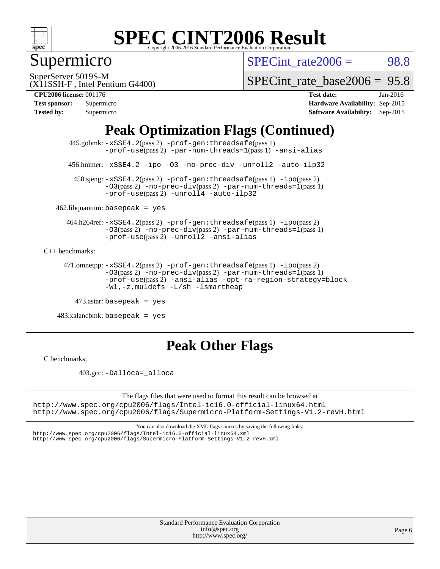

## Supermicro

SPECint rate $2006 = 98.8$ 

SuperServer 5019S-M

[SPECint\\_rate\\_base2006 =](http://www.spec.org/auto/cpu2006/Docs/result-fields.html#SPECintratebase2006) 95.8

(X11SSH-F , Intel Pentium G4400) **[CPU2006 license:](http://www.spec.org/auto/cpu2006/Docs/result-fields.html#CPU2006license)** 001176 **[Test date:](http://www.spec.org/auto/cpu2006/Docs/result-fields.html#Testdate)** Jan-2016

| <b>Test sponsor:</b> | Supermicro |
|----------------------|------------|
| <b>Tested by:</b>    | Supermicro |

**[Hardware Availability:](http://www.spec.org/auto/cpu2006/Docs/result-fields.html#HardwareAvailability)** Sep-2015 **[Software Availability:](http://www.spec.org/auto/cpu2006/Docs/result-fields.html#SoftwareAvailability)** Sep-2015

### **[Peak Optimization Flags \(Continued\)](http://www.spec.org/auto/cpu2006/Docs/result-fields.html#PeakOptimizationFlags)**

 445.gobmk: [-xSSE4.2](http://www.spec.org/cpu2006/results/res2016q1/cpu2006-20160111-38657.flags.html#user_peakPASS2_CFLAGSPASS2_LDCFLAGS445_gobmk_f-xSSE42_f91528193cf0b216347adb8b939d4107)(pass 2) [-prof-gen:threadsafe](http://www.spec.org/cpu2006/results/res2016q1/cpu2006-20160111-38657.flags.html#user_peakPASS1_CFLAGSPASS1_LDCFLAGS445_gobmk_prof_gen_21a26eb79f378b550acd7bec9fe4467a)(pass 1) [-prof-use](http://www.spec.org/cpu2006/results/res2016q1/cpu2006-20160111-38657.flags.html#user_peakPASS2_CFLAGSPASS2_LDCFLAGS445_gobmk_prof_use_bccf7792157ff70d64e32fe3e1250b55)(pass2) [-par-num-threads=1](http://www.spec.org/cpu2006/results/res2016q1/cpu2006-20160111-38657.flags.html#user_peakPASS1_CFLAGSPASS1_LDCFLAGS445_gobmk_par_num_threads_786a6ff141b4e9e90432e998842df6c2)(pass1) [-ansi-alias](http://www.spec.org/cpu2006/results/res2016q1/cpu2006-20160111-38657.flags.html#user_peakCOPTIMIZE445_gobmk_f-ansi-alias)

456.hmmer: [-xSSE4.2](http://www.spec.org/cpu2006/results/res2016q1/cpu2006-20160111-38657.flags.html#user_peakCOPTIMIZE456_hmmer_f-xSSE42_f91528193cf0b216347adb8b939d4107) [-ipo](http://www.spec.org/cpu2006/results/res2016q1/cpu2006-20160111-38657.flags.html#user_peakCOPTIMIZE456_hmmer_f-ipo) [-O3](http://www.spec.org/cpu2006/results/res2016q1/cpu2006-20160111-38657.flags.html#user_peakCOPTIMIZE456_hmmer_f-O3) [-no-prec-div](http://www.spec.org/cpu2006/results/res2016q1/cpu2006-20160111-38657.flags.html#user_peakCOPTIMIZE456_hmmer_f-no-prec-div) [-unroll2](http://www.spec.org/cpu2006/results/res2016q1/cpu2006-20160111-38657.flags.html#user_peakCOPTIMIZE456_hmmer_f-unroll_784dae83bebfb236979b41d2422d7ec2) [-auto-ilp32](http://www.spec.org/cpu2006/results/res2016q1/cpu2006-20160111-38657.flags.html#user_peakCOPTIMIZE456_hmmer_f-auto-ilp32)

 458.sjeng: [-xSSE4.2](http://www.spec.org/cpu2006/results/res2016q1/cpu2006-20160111-38657.flags.html#user_peakPASS2_CFLAGSPASS2_LDCFLAGS458_sjeng_f-xSSE42_f91528193cf0b216347adb8b939d4107)(pass 2) [-prof-gen:threadsafe](http://www.spec.org/cpu2006/results/res2016q1/cpu2006-20160111-38657.flags.html#user_peakPASS1_CFLAGSPASS1_LDCFLAGS458_sjeng_prof_gen_21a26eb79f378b550acd7bec9fe4467a)(pass 1) [-ipo](http://www.spec.org/cpu2006/results/res2016q1/cpu2006-20160111-38657.flags.html#user_peakPASS2_CFLAGSPASS2_LDCFLAGS458_sjeng_f-ipo)(pass 2) [-O3](http://www.spec.org/cpu2006/results/res2016q1/cpu2006-20160111-38657.flags.html#user_peakPASS2_CFLAGSPASS2_LDCFLAGS458_sjeng_f-O3)(pass 2) [-no-prec-div](http://www.spec.org/cpu2006/results/res2016q1/cpu2006-20160111-38657.flags.html#user_peakPASS2_CFLAGSPASS2_LDCFLAGS458_sjeng_f-no-prec-div)(pass 2) [-par-num-threads=1](http://www.spec.org/cpu2006/results/res2016q1/cpu2006-20160111-38657.flags.html#user_peakPASS1_CFLAGSPASS1_LDCFLAGS458_sjeng_par_num_threads_786a6ff141b4e9e90432e998842df6c2)(pass 1)  $-prof$ -use(pass 2) [-unroll4](http://www.spec.org/cpu2006/results/res2016q1/cpu2006-20160111-38657.flags.html#user_peakCOPTIMIZE458_sjeng_f-unroll_4e5e4ed65b7fd20bdcd365bec371b81f) [-auto-ilp32](http://www.spec.org/cpu2006/results/res2016q1/cpu2006-20160111-38657.flags.html#user_peakCOPTIMIZE458_sjeng_f-auto-ilp32)

 $462$ .libquantum: basepeak = yes

 464.h264ref: [-xSSE4.2](http://www.spec.org/cpu2006/results/res2016q1/cpu2006-20160111-38657.flags.html#user_peakPASS2_CFLAGSPASS2_LDCFLAGS464_h264ref_f-xSSE42_f91528193cf0b216347adb8b939d4107)(pass 2) [-prof-gen:threadsafe](http://www.spec.org/cpu2006/results/res2016q1/cpu2006-20160111-38657.flags.html#user_peakPASS1_CFLAGSPASS1_LDCFLAGS464_h264ref_prof_gen_21a26eb79f378b550acd7bec9fe4467a)(pass 1) [-ipo](http://www.spec.org/cpu2006/results/res2016q1/cpu2006-20160111-38657.flags.html#user_peakPASS2_CFLAGSPASS2_LDCFLAGS464_h264ref_f-ipo)(pass 2)  $-03(pass 2)$  [-no-prec-div](http://www.spec.org/cpu2006/results/res2016q1/cpu2006-20160111-38657.flags.html#user_peakPASS2_CFLAGSPASS2_LDCFLAGS464_h264ref_f-no-prec-div)(pass 2) [-par-num-threads=1](http://www.spec.org/cpu2006/results/res2016q1/cpu2006-20160111-38657.flags.html#user_peakPASS1_CFLAGSPASS1_LDCFLAGS464_h264ref_par_num_threads_786a6ff141b4e9e90432e998842df6c2)(pass 1) [-prof-use](http://www.spec.org/cpu2006/results/res2016q1/cpu2006-20160111-38657.flags.html#user_peakPASS2_CFLAGSPASS2_LDCFLAGS464_h264ref_prof_use_bccf7792157ff70d64e32fe3e1250b55)(pass 2) [-unroll2](http://www.spec.org/cpu2006/results/res2016q1/cpu2006-20160111-38657.flags.html#user_peakCOPTIMIZE464_h264ref_f-unroll_784dae83bebfb236979b41d2422d7ec2) [-ansi-alias](http://www.spec.org/cpu2006/results/res2016q1/cpu2006-20160111-38657.flags.html#user_peakCOPTIMIZE464_h264ref_f-ansi-alias)

[C++ benchmarks:](http://www.spec.org/auto/cpu2006/Docs/result-fields.html#CXXbenchmarks)

```
 471.omnetpp: -xSSE4.2(pass 2) -prof-gen:threadsafe(pass 1) -ipo(pass 2)
-O3(pass 2) -no-prec-div(pass 2) -par-num-threads=1(pass 1)
-prof-use(pass 2) -ansi-alias -opt-ra-region-strategy=block
-Wl,-z,muldefs -L/sh -lsmartheap
```
473.astar: basepeak = yes

 $483.xalanchmk: basepeak = yes$ 

### **[Peak Other Flags](http://www.spec.org/auto/cpu2006/Docs/result-fields.html#PeakOtherFlags)**

[C benchmarks](http://www.spec.org/auto/cpu2006/Docs/result-fields.html#Cbenchmarks):

403.gcc: [-Dalloca=\\_alloca](http://www.spec.org/cpu2006/results/res2016q1/cpu2006-20160111-38657.flags.html#b403.gcc_peakEXTRA_CFLAGS_Dalloca_be3056838c12de2578596ca5467af7f3)

The flags files that were used to format this result can be browsed at <http://www.spec.org/cpu2006/flags/Intel-ic16.0-official-linux64.html> <http://www.spec.org/cpu2006/flags/Supermicro-Platform-Settings-V1.2-revH.html>

You can also download the XML flags sources by saving the following links: <http://www.spec.org/cpu2006/flags/Intel-ic16.0-official-linux64.xml>

<http://www.spec.org/cpu2006/flags/Supermicro-Platform-Settings-V1.2-revH.xml>